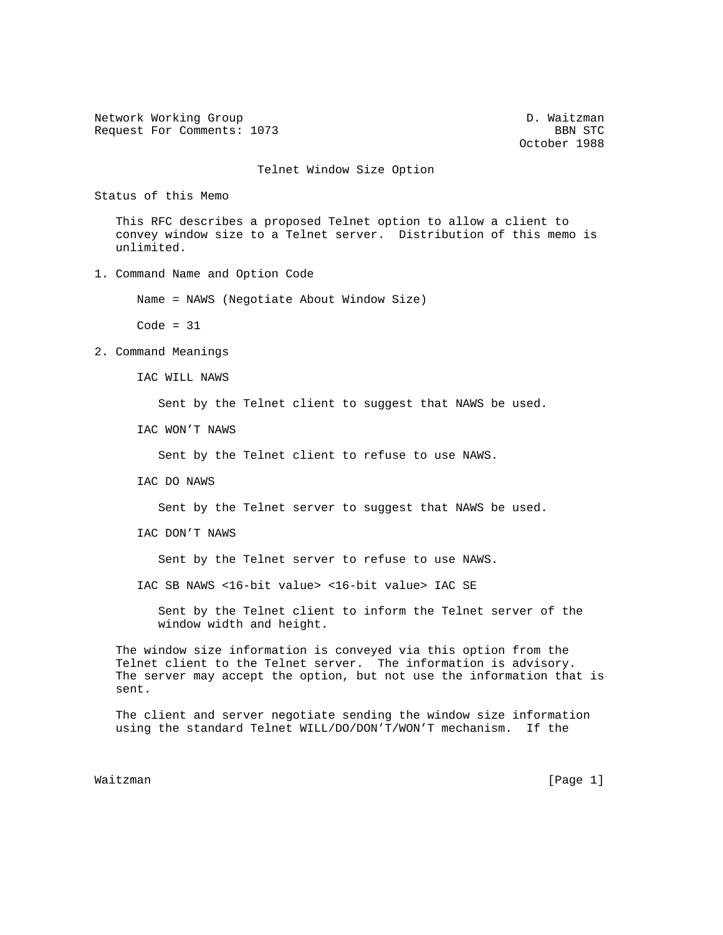Network Working Group and the contract of the D. Waitzman Request For Comments: 1073 BBN STC

October 1988

Telnet Window Size Option

Status of this Memo

 This RFC describes a proposed Telnet option to allow a client to convey window size to a Telnet server. Distribution of this memo is unlimited.

1. Command Name and Option Code

Name = NAWS (Negotiate About Window Size)

 $Code = 31$ 

2. Command Meanings

IAC WILL NAWS

Sent by the Telnet client to suggest that NAWS be used.

IAC WON'T NAWS

Sent by the Telnet client to refuse to use NAWS.

IAC DO NAWS

Sent by the Telnet server to suggest that NAWS be used.

IAC DON'T NAWS

Sent by the Telnet server to refuse to use NAWS.

IAC SB NAWS <16-bit value> <16-bit value> IAC SE

 Sent by the Telnet client to inform the Telnet server of the window width and height.

 The window size information is conveyed via this option from the Telnet client to the Telnet server. The information is advisory. The server may accept the option, but not use the information that is sent.

 The client and server negotiate sending the window size information using the standard Telnet WILL/DO/DON'T/WON'T mechanism. If the

Waitzman [Page 1]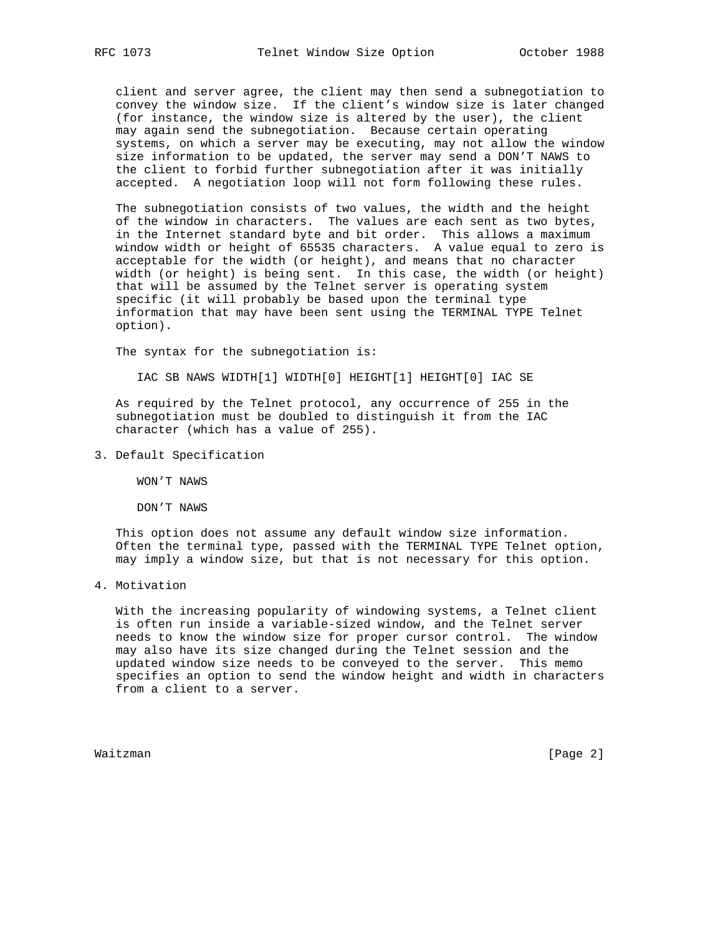client and server agree, the client may then send a subnegotiation to convey the window size. If the client's window size is later changed (for instance, the window size is altered by the user), the client may again send the subnegotiation. Because certain operating systems, on which a server may be executing, may not allow the window size information to be updated, the server may send a DON'T NAWS to the client to forbid further subnegotiation after it was initially accepted. A negotiation loop will not form following these rules.

 The subnegotiation consists of two values, the width and the height of the window in characters. The values are each sent as two bytes, in the Internet standard byte and bit order. This allows a maximum window width or height of 65535 characters. A value equal to zero is acceptable for the width (or height), and means that no character width (or height) is being sent. In this case, the width (or height) that will be assumed by the Telnet server is operating system specific (it will probably be based upon the terminal type information that may have been sent using the TERMINAL TYPE Telnet option).

The syntax for the subnegotiation is:

IAC SB NAWS WIDTH[1] WIDTH[0] HEIGHT[1] HEIGHT[0] IAC SE

 As required by the Telnet protocol, any occurrence of 255 in the subnegotiation must be doubled to distinguish it from the IAC character (which has a value of 255).

3. Default Specification

WON'T NAWS

DON'T NAWS

 This option does not assume any default window size information. Often the terminal type, passed with the TERMINAL TYPE Telnet option, may imply a window size, but that is not necessary for this option.

4. Motivation

 With the increasing popularity of windowing systems, a Telnet client is often run inside a variable-sized window, and the Telnet server needs to know the window size for proper cursor control. The window may also have its size changed during the Telnet session and the updated window size needs to be conveyed to the server. This memo specifies an option to send the window height and width in characters from a client to a server.

Waitzman [Page 2]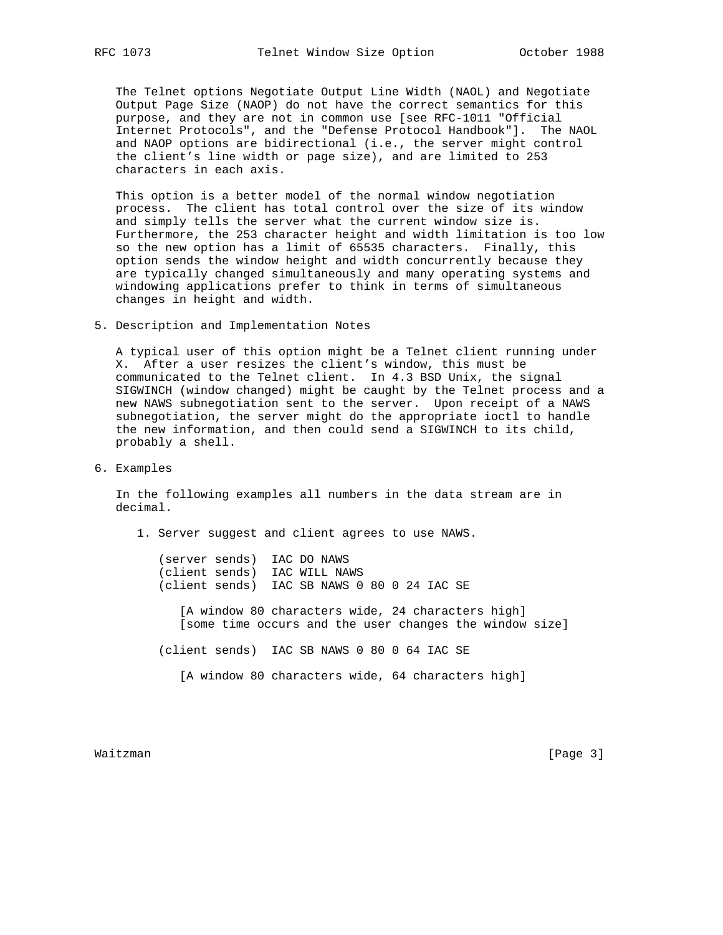The Telnet options Negotiate Output Line Width (NAOL) and Negotiate Output Page Size (NAOP) do not have the correct semantics for this purpose, and they are not in common use [see RFC-1011 "Official Internet Protocols", and the "Defense Protocol Handbook"]. The NAOL and NAOP options are bidirectional (i.e., the server might control the client's line width or page size), and are limited to 253 characters in each axis.

 This option is a better model of the normal window negotiation process. The client has total control over the size of its window and simply tells the server what the current window size is. Furthermore, the 253 character height and width limitation is too low so the new option has a limit of 65535 characters. Finally, this option sends the window height and width concurrently because they are typically changed simultaneously and many operating systems and windowing applications prefer to think in terms of simultaneous changes in height and width.

5. Description and Implementation Notes

 A typical user of this option might be a Telnet client running under X. After a user resizes the client's window, this must be communicated to the Telnet client. In 4.3 BSD Unix, the signal SIGWINCH (window changed) might be caught by the Telnet process and a new NAWS subnegotiation sent to the server. Upon receipt of a NAWS subnegotiation, the server might do the appropriate ioctl to handle the new information, and then could send a SIGWINCH to its child, probably a shell.

6. Examples

 In the following examples all numbers in the data stream are in decimal.

1. Server suggest and client agrees to use NAWS.

 (server sends) IAC DO NAWS (client sends) IAC WILL NAWS (client sends) IAC SB NAWS 0 80 0 24 IAC SE

> [A window 80 characters wide, 24 characters high] [some time occurs and the user changes the window size]

(client sends) IAC SB NAWS 0 80 0 64 IAC SE

[A window 80 characters wide, 64 characters high]

Waitzman [Page 3]